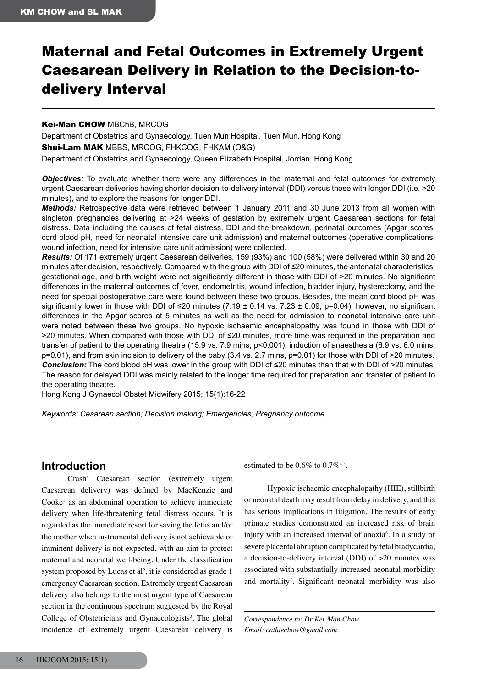# Maternal and Fetal Outcomes in Extremely Urgent Caesarean Delivery in Relation to the Decision-todelivery Interval

#### Kei-Man CHOW MBChB, MRCOG

Department of Obstetrics and Gynaecology, Tuen Mun Hospital, Tuen Mun, Hong Kong Shui-Lam MAK MBBS, MRCOG, FHKCOG, FHKAM (O&G) Department of Obstetrics and Gynaecology, Queen Elizabeth Hospital, Jordan, Hong Kong

*Objectives:* To evaluate whether there were any differences in the maternal and fetal outcomes for extremely urgent Caesarean deliveries having shorter decision-to-delivery interval (DDI) versus those with longer DDI (i.e. >20 minutes), and to explore the reasons for longer DDI.

*Methods:* Retrospective data were retrieved between 1 January 2011 and 30 June 2013 from all women with singleton pregnancies delivering at >24 weeks of gestation by extremely urgent Caesarean sections for fetal distress. Data including the causes of fetal distress, DDI and the breakdown, perinatal outcomes (Apgar scores, cord blood pH, need for neonatal intensive care unit admission) and maternal outcomes (operative complications, wound infection, need for intensive care unit admission) were collected.

*Results:* Of 171 extremely urgent Caesarean deliveries, 159 (93%) and 100 (58%) were delivered within 30 and 20 minutes after decision, respectively. Compared with the group with DDI of ≤20 minutes, the antenatal characteristics, gestational age, and birth weight were not significantly different in those with DDI of >20 minutes. No significant differences in the maternal outcomes of fever, endometritis, wound infection, bladder injury, hysterectomy, and the need for special postoperative care were found between these two groups. Besides, the mean cord blood pH was significantly lower in those with DDI of ≤20 minutes (7.19  $\pm$  0.14 vs. 7.23  $\pm$  0.09, p=0.04), however, no significant differences in the Apgar scores at 5 minutes as well as the need for admission to neonatal intensive care unit were noted between these two groups. No hypoxic ischaemic encephalopathy was found in those with DDI of >20 minutes. When compared with those with DDI of ≤20 minutes, more time was required in the preparation and transfer of patient to the operating theatre (15.9 vs. 7.9 mins, p<0.001), induction of anaesthesia (6.9 vs. 6.0 mins, p=0.01), and from skin incision to delivery of the baby (3.4 vs. 2.7 mins, p=0.01) for those with DDI of >20 minutes. *Conclusion:* The cord blood pH was lower in the group with DDI of ≤20 minutes than that with DDI of >20 minutes. The reason for delayed DDI was mainly related to the longer time required for preparation and transfer of patient to the operating theatre.

Hong Kong J Gynaecol Obstet Midwifery 2015; 15(1):16-22

*Keywords: Cesarean section; Decision making; Emergencies; Pregnancy outcome*

## **Introduction**

'Crash' Caesarean section (extremely urgent Caesarean delivery) was defined by MacKenzie and Cooke<sup>1</sup> as an abdominal operation to achieve immediate delivery when life-threatening fetal distress occurs. It is regarded as the immediate resort for saving the fetus and/or the mother when instrumental delivery is not achievable or imminent delivery is not expected, with an aim to protect maternal and neonatal well-being. Under the classification system proposed by Lucas et  $al^2$ , it is considered as grade 1 emergency Caesarean section. Extremely urgent Caesarean delivery also belongs to the most urgent type of Caesarean section in the continuous spectrum suggested by the Royal College of Obstetricians and Gynaecologists<sup>3</sup>. The global incidence of extremely urgent Caesarean delivery is estimated to be  $0.6\%$  to  $0.7\%$ <sup>4,5</sup>.

Hypoxic ischaemic encephalopathy (HIE), stillbirth or neonatal death may result from delay in delivery, and this has serious implications in litigation. The results of early primate studies demonstrated an increased risk of brain injury with an increased interval of anoxia<sup>6</sup>. In a study of severe placental abruption complicated by fetal bradycardia, a decision-to-delivery interval (DDI) of >20 minutes was associated with substantially increased neonatal morbidity and mortality<sup>7</sup>. Significant neonatal morbidity was also

*Correspondence to: Dr Kei-Man Chow Email: cathiechow@gmail.com*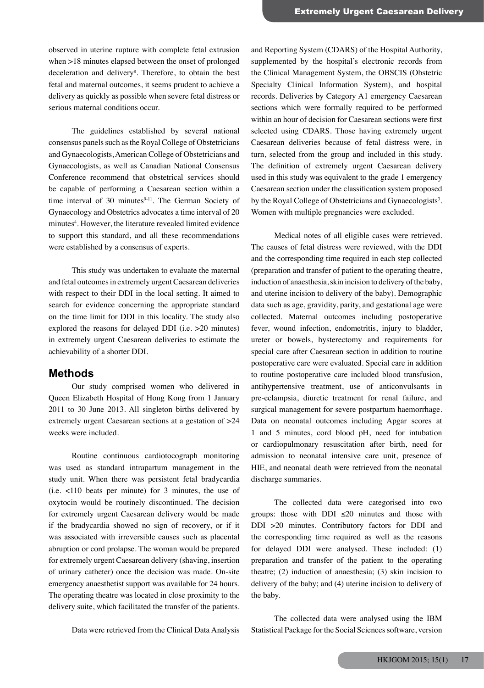observed in uterine rupture with complete fetal extrusion when >18 minutes elapsed between the onset of prolonged deceleration and delivery<sup>8</sup>. Therefore, to obtain the best fetal and maternal outcomes, it seems prudent to achieve a delivery as quickly as possible when severe fetal distress or serious maternal conditions occur.

The guidelines established by several national consensus panels such as the Royal College of Obstetricians and Gynaecologists, American College of Obstetricians and Gynaecologists, as well as Canadian National Consensus Conference recommend that obstetrical services should be capable of performing a Caesarean section within a time interval of 30 minutes $9-11$ . The German Society of Gynaecology and Obstetrics advocates a time interval of 20 minutes<sup>4</sup>. However, the literature revealed limited evidence to support this standard, and all these recommendations were established by a consensus of experts.

This study was undertaken to evaluate the maternal and fetal outcomes in extremely urgent Caesarean deliveries with respect to their DDI in the local setting. It aimed to search for evidence concerning the appropriate standard on the time limit for DDI in this locality. The study also explored the reasons for delayed DDI (i.e. >20 minutes) in extremely urgent Caesarean deliveries to estimate the achievability of a shorter DDI.

### **Methods**

Our study comprised women who delivered in Queen Elizabeth Hospital of Hong Kong from 1 January 2011 to 30 June 2013. All singleton births delivered by extremely urgent Caesarean sections at a gestation of >24 weeks were included.

Routine continuous cardiotocograph monitoring was used as standard intrapartum management in the study unit. When there was persistent fetal bradycardia (i.e. <110 beats per minute) for 3 minutes, the use of oxytocin would be routinely discontinued. The decision for extremely urgent Caesarean delivery would be made if the bradycardia showed no sign of recovery, or if it was associated with irreversible causes such as placental abruption or cord prolapse. The woman would be prepared for extremely urgent Caesarean delivery (shaving, insertion of urinary catheter) once the decision was made. On-site emergency anaesthetist support was available for 24 hours. The operating theatre was located in close proximity to the delivery suite, which facilitated the transfer of the patients.

Data were retrieved from the Clinical Data Analysis

and Reporting System (CDARS) of the Hospital Authority, supplemented by the hospital's electronic records from the Clinical Management System, the OBSCIS (Obstetric Specialty Clinical Information System), and hospital records. Deliveries by Category A1 emergency Caesarean sections which were formally required to be performed within an hour of decision for Caesarean sections were first selected using CDARS. Those having extremely urgent Caesarean deliveries because of fetal distress were, in turn, selected from the group and included in this study. The definition of extremely urgent Caesarean delivery used in this study was equivalent to the grade 1 emergency Caesarean section under the classification system proposed by the Royal College of Obstetricians and Gynaecologists<sup>3</sup>. Women with multiple pregnancies were excluded.

Medical notes of all eligible cases were retrieved. The causes of fetal distress were reviewed, with the DDI and the corresponding time required in each step collected (preparation and transfer of patient to the operating theatre, induction of anaesthesia, skin incision to delivery of the baby, and uterine incision to delivery of the baby). Demographic data such as age, gravidity, parity, and gestational age were collected. Maternal outcomes including postoperative fever, wound infection, endometritis, injury to bladder, ureter or bowels, hysterectomy and requirements for special care after Caesarean section in addition to routine postoperative care were evaluated. Special care in addition to routine postoperative care included blood transfusion, antihypertensive treatment, use of anticonvulsants in pre-eclampsia, diuretic treatment for renal failure, and surgical management for severe postpartum haemorrhage. Data on neonatal outcomes including Apgar scores at 1 and 5 minutes, cord blood pH, need for intubation or cardiopulmonary resuscitation after birth, need for admission to neonatal intensive care unit, presence of HIE, and neonatal death were retrieved from the neonatal discharge summaries.

The collected data were categorised into two groups: those with DDI  $\leq 20$  minutes and those with DDI >20 minutes. Contributory factors for DDI and the corresponding time required as well as the reasons for delayed DDI were analysed. These included: (1) preparation and transfer of the patient to the operating theatre; (2) induction of anaesthesia; (3) skin incision to delivery of the baby; and (4) uterine incision to delivery of the baby.

The collected data were analysed using the IBM Statistical Package for the Social Sciences software, version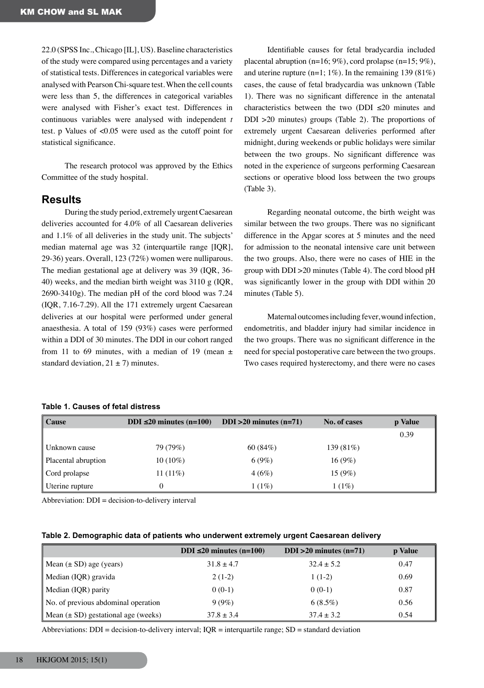22.0 (SPSS Inc., Chicago [IL], US). Baseline characteristics of the study were compared using percentages and a variety of statistical tests. Differences in categorical variables were analysed with Pearson Chi-square test. When the cell counts were less than 5, the differences in categorical variables were analysed with Fisher's exact test. Differences in continuous variables were analysed with independent *t* test. p Values of <0.05 were used as the cutoff point for statistical significance.

The research protocol was approved by the Ethics Committee of the study hospital.

## **Results**

During the study period, extremely urgent Caesarean deliveries accounted for 4.0% of all Caesarean deliveries and 1.1% of all deliveries in the study unit. The subjects' median maternal age was 32 (interquartile range [IQR], 29-36) years. Overall, 123 (72%) women were nulliparous. The median gestational age at delivery was 39 (IQR, 36- 40) weeks, and the median birth weight was 3110 g (IQR,  $2690-3410g$ ). The median pH of the cord blood was  $7.24$ (IQR, 7.16-7.29). All the 171 extremely urgent Caesarean deliveries at our hospital were performed under general anaesthesia. A total of 159 (93%) cases were performed within a DDI of 30 minutes. The DDI in our cohort ranged from 11 to 69 minutes, with a median of 19 (mean  $\pm$ standard deviation,  $21 \pm 7$ ) minutes.

Identifiable causes for fetal bradycardia included placental abruption (n=16; 9%), cord prolapse (n=15; 9%), and uterine rupture  $(n=1; 1\%)$ . In the remaining 139 (81%) cases, the cause of fetal bradycardia was unknown (Table 1). There was no significant difference in the antenatal characteristics between the two (DDI  $\leq 20$  minutes and DDI >20 minutes) groups (Table 2). The proportions of extremely urgent Caesarean deliveries performed after midnight, during weekends or public holidays were similar between the two groups. No significant difference was noted in the experience of surgeons performing Caesarean sections or operative blood loss between the two groups (Table 3).

Regarding neonatal outcome, the birth weight was similar between the two groups. There was no significant difference in the Apgar scores at 5 minutes and the need for admission to the neonatal intensive care unit between the two groups. Also, there were no cases of HIE in the group with DDI >20 minutes (Table 4). The cord blood pH was significantly lower in the group with DDI within 20 minutes (Table 5).

Maternal outcomes including fever, wound infection, endometritis, and bladder injury had similar incidence in the two groups. There was no significant difference in the need for special postoperative care between the two groups. Two cases required hysterectomy, and there were no cases

| Cause               | DDI $\leq 20$ minutes (n=100) | DDI $>20$ minutes (n=71) | No. of cases | p Value |
|---------------------|-------------------------------|--------------------------|--------------|---------|
|                     |                               |                          |              | 0.39    |
| Unknown cause       | 79 (79%)                      | 60 $(84%)$               | 139 (81%)    |         |
| Placental abruption | $10(10\%)$                    | 6(9%)                    | 16(9%)       |         |
| Cord prolapse       | 11 $(11%)$                    | 4(6%)                    | 15(9%)       |         |
| Uterine rupture     | $\theta$                      | 1(1%)                    | $1(1\%)$     |         |

#### **Table 1. Causes of fetal distress**

Abbreviation: DDI = decision-to-delivery interval

|  |  |  | Table 2. Demographic data of patients who underwent extremely urgent Caesarean delivery |
|--|--|--|-----------------------------------------------------------------------------------------|
|--|--|--|-----------------------------------------------------------------------------------------|

|                                         | DDI $\leq 20$ minutes (n=100) | DDI $>20$ minutes (n=71) | p Value |
|-----------------------------------------|-------------------------------|--------------------------|---------|
| Mean $(\pm SD)$ age (years)             | $31.8 \pm 4.7$                | $32.4 \pm 5.2$           | 0.47    |
| Median (IQR) gravida                    | $2(1-2)$                      | $1(1-2)$                 | 0.69    |
| Median (IQR) parity                     | $0(0-1)$                      | $0(0-1)$                 | 0.87    |
| No. of previous abdominal operation     | 9(9%)                         | $6(8.5\%)$               | 0.56    |
| Mean $(\pm SD)$ gestational age (weeks) | $37.8 \pm 3.4$                | $37.4 \pm 3.2$           | 0.54    |

Abbreviations:  $DDI = decision-to-delivery interval$ ;  $IQR = interquartile range$ ;  $SD = standard deviation$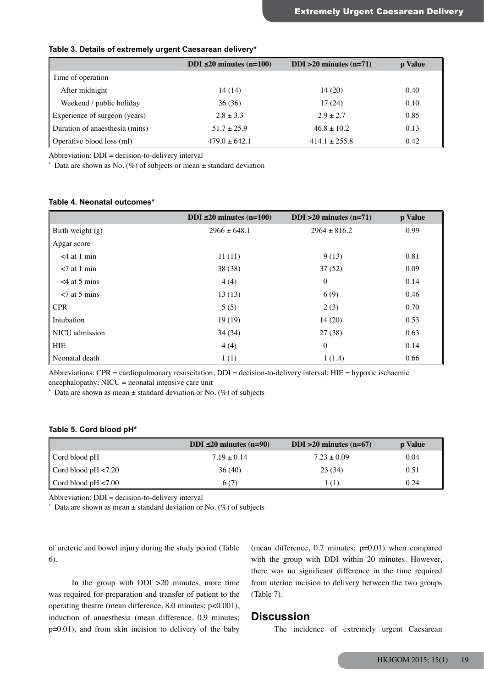|                                | DDI $\leq 20$ minutes (n=100) | DDI $>20$ minutes (n=71) | p Value |
|--------------------------------|-------------------------------|--------------------------|---------|
| Time of operation              |                               |                          |         |
| After midnight                 | 14 (14)                       | 14(20)                   | 0.40    |
| Weekend / public holiday       | 36(36)                        | 17(24)                   | 0.10    |
| Experience of surgeon (years)  | $2.8 \pm 3.3$                 | $2.9 \pm 2.7$            | 0.85    |
| Duration of anaesthesia (mins) | $51.7 \pm 25.9$               | $46.8 \pm 10.2$          | 0.13    |
| Operative blood loss (ml)      | $479.0 \pm 642.1$             | $414.1 \pm 255.8$        | 0.42    |

#### **Table 3. Details of extremely urgent Caesarean delivery\***

Abbreviation: DDI = decision-to-delivery interval

 $*$  Data are shown as No. (%) of subjects or mean  $\pm$  standard deviation

#### **Table 4. Neonatal outcomes\***

|                  | DDI $\leq 20$ minutes (n=100) | DDI $>20$ minutes (n=71) | p Value |
|------------------|-------------------------------|--------------------------|---------|
| Birth weight (g) | $2966 \pm 648.1$              | $2964 \pm 816.2$         | 0.99    |
| Apgar score      |                               |                          |         |
| $<$ 4 at 1 min   | 11(11)                        | 9(13)                    | 0.81    |
| $< 7$ at 1 min   | 38 (38)                       | 37(52)                   | 0.09    |
| $<$ 4 at 5 mins  | 4(4)                          | $\theta$                 | 0.14    |
| $< 7$ at 5 mins  | 13(13)                        | 6(9)                     | 0.46    |
| <b>CPR</b>       | 5(5)                          | 2(3)                     | 0.70    |
| Intubation       | 19(19)                        | 14(20)                   | 0.53    |
| NICU admission   | 34 (34)                       | 27(38)                   | 0.63    |
| HIE              | 4(4)                          | $\overline{0}$           | 0.14    |
| Neonatal death   | 1(1)                          | 1(1.4)                   | 0.66    |

Abbreviations: CPR = cardiopulmonary resuscitation; DDI = decision-to-delivery interval; HIE = hypoxic ischaemic  $e^{\frac{1}{2}}$  encephalopathy; NICU = neonatal intensive care unit

Data are shown as mean  $\pm$  standard deviation or No. (%) of subjects

#### **Table 5. Cord blood pH\***

|                             | DDI $\leq 20$ minutes (n=90) | DDI $>20$ minutes (n=67) | <b>p</b> Value |
|-----------------------------|------------------------------|--------------------------|----------------|
| $\mathbb I$ Cord blood pH   | $7.19 \pm 0.14$              | $7.23 \pm 0.09$          | 0.04           |
| Cord blood $pH < 7.20$      | 36(40)                       | 23(34)                   | 0.51           |
| $\vert$ Cord blood pH <7.00 | 6 (7)                        | (1)                      | 0.24           |

Abbreviation: DDI = decision-to-delivery interval

 $*$  Data are shown as mean  $\pm$  standard deviation or No. (%) of subjects

of ureteric and bowel injury during the study period (Table 6).

In the group with DDI >20 minutes, more time was required for preparation and transfer of patient to the operating theatre (mean difference, 8.0 minutes; p<0.001), induction of anaesthesia (mean difference, 0.9 minutes; p=0.01), and from skin incision to delivery of the baby (mean difference, 0.7 minutes; p=0.01) when compared with the group with DDI within 20 minutes. However, there was no significant difference in the time required from uterine incision to delivery between the two groups (Table 7).

#### **Discussion**

The incidence of extremely urgent Caesarean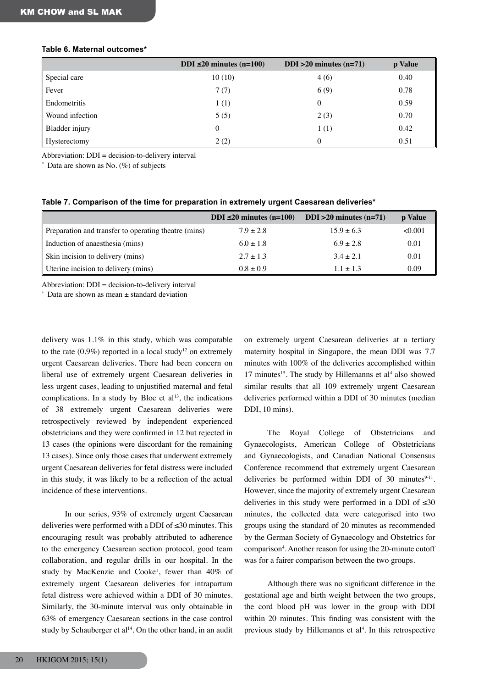#### **Table 6. Maternal outcomes\***

|                        | DDI $\leq 20$ minutes (n=100) | DDI $>20$ minutes (n=71) | p Value |
|------------------------|-------------------------------|--------------------------|---------|
| Special care           | 10(10)                        | 4(6)                     | 0.40    |
| Fever                  | 7(7)                          | 6(9)                     | 0.78    |
| Endometritis           | 1(1)                          | $\Omega$                 | 0.59    |
| <b>Wound</b> infection | 5(5)                          | 2(3)                     | 0.70    |
| <b>Bladder</b> injury  | 0                             | 1(1)                     | 0.42    |
| Hysterectomy           | 2(2)                          | $\theta$                 | 0.51    |

Abbreviation: DDI = decision-to-delivery interval

 $*$  Data are shown as No.  $(\%)$  of subjects

|  |  |  |  |  |  | Table 7. Comparison of the time for preparation in extremely urgent Caesarean deliveries $^\star$ |  |
|--|--|--|--|--|--|---------------------------------------------------------------------------------------------------|--|
|--|--|--|--|--|--|---------------------------------------------------------------------------------------------------|--|

|                                                      | DDI $\leq 20$ minutes (n=100) | DDI $>20$ minutes (n=71) | p Value |
|------------------------------------------------------|-------------------------------|--------------------------|---------|
| Preparation and transfer to operating theatre (mins) | $7.9 \pm 2.8$                 | $15.9 \pm 6.3$           | < 0.001 |
| Induction of anaesthesia (mins)                      | $6.0 \pm 1.8$                 | $6.9 \pm 2.8$            | 0.01    |
| Skin incision to delivery (mins)                     | $2.7 \pm 1.3$                 | $3.4 \pm 2.1$            | 0.01    |
| Uterine incision to delivery (mins)                  | $0.8 \pm 0.9$                 | $1.1 \pm 1.3$            | 0.09    |

Abbreviation: DDI = decision-to-delivery interval

Data are shown as mean  $\pm$  standard deviation

delivery was 1.1% in this study, which was comparable to the rate  $(0.9\%)$  reported in a local study<sup>12</sup> on extremely urgent Caesarean deliveries. There had been concern on liberal use of extremely urgent Caesarean deliveries in less urgent cases, leading to unjustified maternal and fetal complications. In a study by Bloc et  $al<sup>13</sup>$ , the indications of 38 extremely urgent Caesarean deliveries were retrospectively reviewed by independent experienced obstetricians and they were confirmed in 12 but rejected in 13 cases (the opinions were discordant for the remaining 13 cases). Since only those cases that underwent extremely urgent Caesarean deliveries for fetal distress were included in this study, it was likely to be a reflection of the actual incidence of these interventions.

In our series, 93% of extremely urgent Caesarean deliveries were performed with a DDI of ≤30 minutes. This encouraging result was probably attributed to adherence to the emergency Caesarean section protocol, good team collaboration, and regular drills in our hospital. In the study by MacKenzie and Cooke<sup>1</sup>, fewer than 40% of extremely urgent Caesarean deliveries for intrapartum fetal distress were achieved within a DDI of 30 minutes. Similarly, the 30-minute interval was only obtainable in 63% of emergency Caesarean sections in the case control study by Schauberger et al<sup>14</sup>. On the other hand, in an audit

on extremely urgent Caesarean deliveries at a tertiary maternity hospital in Singapore, the mean DDI was 7.7 minutes with 100% of the deliveries accomplished within 17 minutes<sup>15</sup>. The study by Hillemanns et al<sup>4</sup> also showed similar results that all 109 extremely urgent Caesarean deliveries performed within a DDI of 30 minutes (median DDI, 10 mins).

The Royal College of Obstetricians and Gynaecologists, American College of Obstetricians and Gynaecologists, and Canadian National Consensus Conference recommend that extremely urgent Caesarean deliveries be performed within DDI of  $30$  minutes<sup>9-11</sup>. However, since the majority of extremely urgent Caesarean deliveries in this study were performed in a DDI of  $\leq 30$ minutes, the collected data were categorised into two groups using the standard of 20 minutes as recommended by the German Society of Gynaecology and Obstetrics for comparison<sup>4</sup>. Another reason for using the 20-minute cutoff was for a fairer comparison between the two groups.

Although there was no significant difference in the gestational age and birth weight between the two groups, the cord blood pH was lower in the group with DDI within 20 minutes. This finding was consistent with the previous study by Hillemanns et al<sup>4</sup>. In this retrospective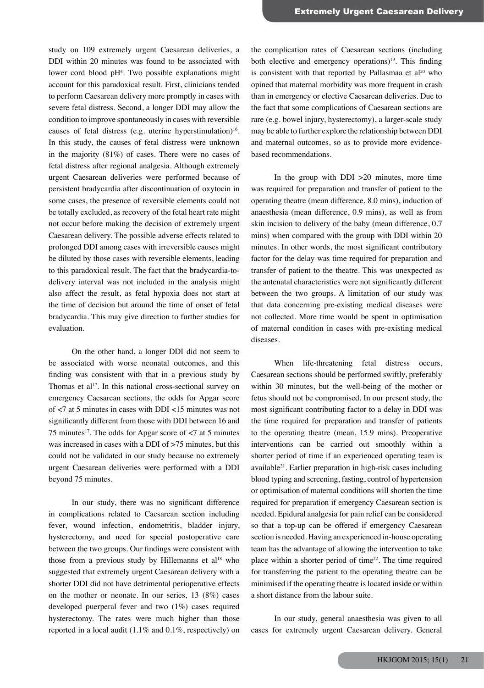study on 109 extremely urgent Caesarean deliveries, a DDI within 20 minutes was found to be associated with lower cord blood pH<sup>4</sup>. Two possible explanations might account for this paradoxical result. First, clinicians tended to perform Caesarean delivery more promptly in cases with severe fetal distress. Second, a longer DDI may allow the condition to improve spontaneously in cases with reversible causes of fetal distress (e.g. uterine hyperstimulation)<sup>16</sup>. In this study, the causes of fetal distress were unknown in the majority (81%) of cases. There were no cases of fetal distress after regional analgesia. Although extremely urgent Caesarean deliveries were performed because of persistent bradycardia after discontinuation of oxytocin in some cases, the presence of reversible elements could not be totally excluded, as recovery of the fetal heart rate might not occur before making the decision of extremely urgent Caesarean delivery. The possible adverse effects related to prolonged DDI among cases with irreversible causes might be diluted by those cases with reversible elements, leading to this paradoxical result. The fact that the bradycardia-todelivery interval was not included in the analysis might also affect the result, as fetal hypoxia does not start at the time of decision but around the time of onset of fetal bradycardia. This may give direction to further studies for evaluation.

On the other hand, a longer DDI did not seem to be associated with worse neonatal outcomes, and this finding was consistent with that in a previous study by Thomas et al<sup>17</sup>. In this national cross-sectional survey on emergency Caesarean sections, the odds for Apgar score of <7 at 5 minutes in cases with DDI <15 minutes was not significantly different from those with DDI between 16 and 75 minutes<sup>17</sup>. The odds for Apgar score of  $\lt$ 7 at 5 minutes was increased in cases with a DDI of >75 minutes, but this could not be validated in our study because no extremely urgent Caesarean deliveries were performed with a DDI beyond 75 minutes.

In our study, there was no significant difference in complications related to Caesarean section including fever, wound infection, endometritis, bladder injury, hysterectomy, and need for special postoperative care between the two groups. Our findings were consistent with those from a previous study by Hillemanns et  $al^{18}$  who suggested that extremely urgent Caesarean delivery with a shorter DDI did not have detrimental perioperative effects on the mother or neonate. In our series, 13 (8%) cases developed puerperal fever and two (1%) cases required hysterectomy. The rates were much higher than those reported in a local audit (1.1% and 0.1%, respectively) on

the complication rates of Caesarean sections (including both elective and emergency operations)<sup>19</sup>. This finding is consistent with that reported by Pallasmaa et  $al^{20}$  who opined that maternal morbidity was more frequent in crash than in emergency or elective Caesarean deliveries. Due to the fact that some complications of Caesarean sections are rare (e.g. bowel injury, hysterectomy), a larger-scale study may be able to further explore the relationship between DDI and maternal outcomes, so as to provide more evidencebased recommendations.

In the group with DDI >20 minutes, more time was required for preparation and transfer of patient to the operating theatre (mean difference, 8.0 mins), induction of anaesthesia (mean difference, 0.9 mins), as well as from skin incision to delivery of the baby (mean difference, 0.7 mins) when compared with the group with DDI within 20 minutes. In other words, the most significant contributory factor for the delay was time required for preparation and transfer of patient to the theatre. This was unexpected as the antenatal characteristics were not significantly different between the two groups. A limitation of our study was that data concerning pre-existing medical diseases were not collected. More time would be spent in optimisation of maternal condition in cases with pre-existing medical diseases.

When life-threatening fetal distress occurs, Caesarean sections should be performed swiftly, preferably within 30 minutes, but the well-being of the mother or fetus should not be compromised. In our present study, the most significant contributing factor to a delay in DDI was the time required for preparation and transfer of patients to the operating theatre (mean, 15.9 mins). Preoperative interventions can be carried out smoothly within a shorter period of time if an experienced operating team is available21. Earlier preparation in high-risk cases including blood typing and screening, fasting, control of hypertension or optimisation of maternal conditions will shorten the time required for preparation if emergency Caesarean section is needed. Epidural analgesia for pain relief can be considered so that a top-up can be offered if emergency Caesarean section is needed. Having an experienced in-house operating team has the advantage of allowing the intervention to take place within a shorter period of time $2<sup>2</sup>$ . The time required for transferring the patient to the operating theatre can be minimised if the operating theatre is located inside or within a short distance from the labour suite.

In our study, general anaesthesia was given to all cases for extremely urgent Caesarean delivery. General